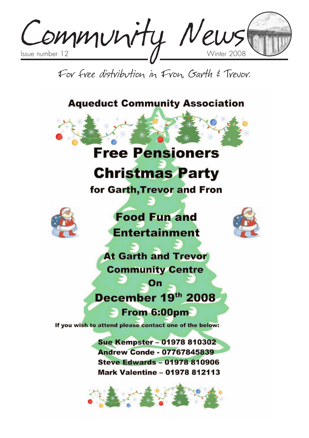Community News

For free distribution in Fron, Garth & Trevor.

## **Aqueduct Community Association**

# **Free Pensioners**

# **Christmas Party**

for Garth, Trevor and Fron



**Food Fun and Entertainment** 



**At Garth and Trevor Community Centre** 

# On December 19th 2008 From 6:00pm

If you wish to attend please contact one of the below:

Sue Kempster - 01978 810302 **Andrew Conde - 07767845839 Steve Edwards - 01978 810906 Mark Valentine - 01978 812113** 

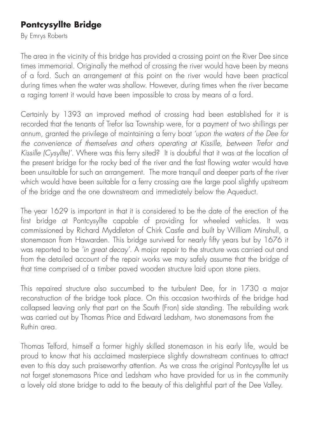## **Pontcysyllte Bridge**

By Emrys Roberts

The area in the vicinity of this bridge has provided a crossing point on the River Dee since times immemorial. Originally the method of crossing the river would have been by means of a ford. Such an arrangement at this point on the river would have been practical during times when the water was shallow. However, during times when the river became a raging torrent it would have been impossible to cross by means of a ford.

Certainly by 1393 an improved method of crossing had been established for it is recorded that the tenants of Trefor Isa Township were, for a payment of two shillings per annum, granted the privilege of maintaining a ferry boat *'upon the waters of the Dee for the convenience of themselves and others operating at Kissille, between Trefor and Kissille (Cysyllte)'*. Where was this ferry sited? It is doubtful that it was at the location of the present bridge for the rocky bed of the river and the fast flowing water would have been unsuitable for such an arrangement. The more tranquil and deeper parts of the river which would have been suitable for a ferry crossing are the large pool slightly upstream of the bridge and the one downstream and immediately below the Aqueduct.

The year 1629 is important in that it is considered to be the date of the erection of the first bridge at Pontcysyllte capable of providing for wheeled vehicles. It was commissioned by Richard Myddleton of Chirk Castle and built by William Minshull, a stonemason from Hawarden. This bridge survived for nearly fifty years but by 1676 it was reported to be *'in great decay'*. A major repair to the structure was carried out and from the detailed account of the repair works we may safely assume that the bridge of that time comprised of a timber paved wooden structure laid upon stone piers.

This repaired structure also succumbed to the turbulent Dee, for in 1730 a major reconstruction of the bridge took place. On this occasion two-thirds of the bridge had collapsed leaving only that part on the South (Fron) side standing. The rebuilding work was carried out by Thomas Price and Edward Ledsham, two stonemasons from the Ruthin area.

Thomas Telford, himself a former highly skilled stonemason in his early life, would be proud to know that his acclaimed masterpiece slightly downstream continues to attract even to this day such praiseworthy attention. As we cross the original Pontcysyllte let us not forget stonemasons Price and Ledsham who have provided for us in the community a lovely old stone bridge to add to the beauty of this delightful part of the Dee Valley.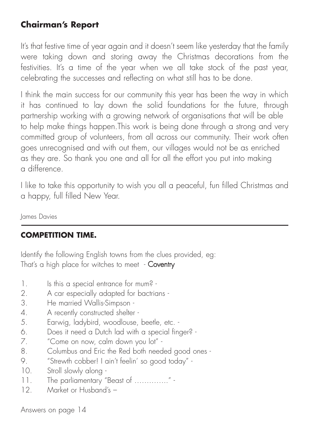## **Chairman's Report**

It's that festive time of year again and it doesn't seem like yesterday that the family were taking down and storing away the Christmas decorations from the festivities. It's a time of the year when we all take stock of the past year, celebrating the successes and reflecting on what still has to be done.

I think the main success for our community this year has been the way in which it has continued to lay down the solid foundations for the future, through partnership working with a growing network of organisations that will be able to help make things happen.This work is being done through a strong and very committed group of volunteers, from all across our community. Their work often goes unrecognised and with out them, our villages would not be as enriched as they are. So thank you one and all for all the effort you put into making a difference.

I like to take this opportunity to wish you all a peaceful, fun filled Christmas and a happy, full filled New Year.

James Davies

### **COMPETITION TIME.**

Identify the following English towns from the clues provided, eg: That's a high place for witches to meet - Coventry

- 1. Is this a special entrance for mum? -
- 2. A car especially adapted for bactrians -
- 3. He married Wallis-Simpson -
- 4. A recently constructed shelter -
- 5. Earwig, ladybird, woodlouse, beetle, etc. -
- 6. Does it need a Dutch lad with a special finger? -
- 7. "Come on now, calm down you lot" -
- 8. Columbus and Eric the Red both needed good ones -
- 9. "Strewth cobber! I ain't feelin' so good today" -
- 10. Stroll slowly along -
- 11. The parliamentary "Beast of ................" -
- 12. Market or Husband's –

Answers on page 14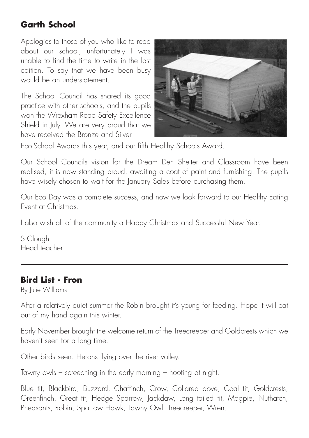## **Garth School**

Apologies to those of you who like to read about our school, unfortunately I was unable to find the time to write in the last edition. To say that we have been busy would be an understatement.

The School Council has shared its good practice with other schools, and the pupils won the Wrexham Road Safety Excellence Shield in July. We are very proud that we have received the Bronze and Silver



Eco-School Awards this year, and our fifth Healthy Schools Award.

Our School Councils vision for the Dream Den Shelter and Classroom have been realised, it is now standing proud, awaiting a coat of paint and furnishing. The pupils have wisely chosen to wait for the January Sales before purchasing them.

Our Eco Day was a complete success, and now we look forward to our Healthy Eating Event at Christmas.

I also wish all of the community a Happy Christmas and Successful New Year.

S.Clough Head teacher

## **Bird List - Fron**

By Julie Williams

After a relatively quiet summer the Robin brought it's young for feeding. Hope it will eat out of my hand again this winter.

Early November brought the welcome return of the Treecreeper and Goldcrests which we haven't seen for a long time.

Other birds seen: Herons flying over the river valley.

Tawny owls – screeching in the early morning – hooting at night.

Blue tit, Blackbird, Buzzard, Chaffinch, Crow, Collared dove, Coal tit, Goldcrests, Greenfinch, Great tit, Hedge Sparrow, Jackdaw, Long tailed tit, Magpie, Nuthatch, Pheasants, Robin, Sparrow Hawk, Tawny Owl, Treecreeper, Wren.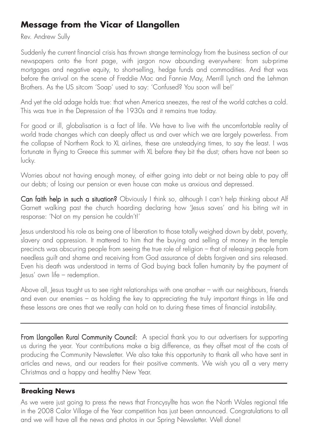### **Message from the Vicar of Llangollen**

Rev. Andrew Sully

Suddenly the current financial crisis has thrown strange terminology from the business section of our newspapers onto the front page, with jargon now abounding everywhere: from sub-prime mortgages and negative equity, to short-selling, hedge funds and commodities. And that was before the arrival on the scene of Freddie Mac and Fannie May, Merrill Lynch and the Lehman Brothers. As the US sitcom 'Soap' used to say: 'Confused? You soon will be!'

And yet the old adage holds true: that when America sneezes, the rest of the world catches a cold. This was true in the Depression of the 1930s and it remains true today.

For good or ill, globalisation is a fact of life. We have to live with the uncomfortable reality of world trade changes which can deeply affect us and over which we are largely powerless. From the collapse of Northern Rock to XL airlines, these are unsteadying times, to say the least. I was fortunate in flying to Greece this summer with XL before they bit the dust; others have not been so lucky.

Worries about not having enough money, of either going into debt or not being able to pay off our debts; of losing our pension or even house can make us anxious and depressed.

Can faith help in such a situation? Obviously I think so, although I can't help thinking about Alf Garnett walking past the church hoarding declaring how 'Jesus saves' and his biting wit in response: 'Not on my pension he couldn't!'

Jesus understood his role as being one of liberation to those totally weighed down by debt, poverty, slavery and oppression. It mattered to him that the buying and selling of money in the temple precincts was obscuring people from seeing the true role of religion – that of releasing people from needless guilt and shame and receiving from God assurance of debts forgiven and sins released. Even his death was understood in terms of God buying back fallen humanity by the payment of Jesus' own life – redemption.

Above all, Jesus taught us to see right relationships with one another – with our neighbours, friends and even our enemies – as holding the key to appreciating the truly important things in life and these lessons are ones that we really can hold on to during these times of financial instability.

From Llangollen Rural Community Council: A special thank you to our advertisers for supporting us during the year. Your contributions make a big difference, as they offset most of the costs of producing the Community Newsletter. We also take this opportunity to thank all who have sent in articles and news, and our readers for their positive comments. We wish you all a very merry Christmas and a happy and healthy New Year.

#### **Breaking News**

As we were just going to press the news that Froncysyllte has won the North Wales regional title in the 2008 Calor Village of the Year competition has just been announced. Congratulations to all and we will have all the news and photos in our Spring Newsletter. Well done!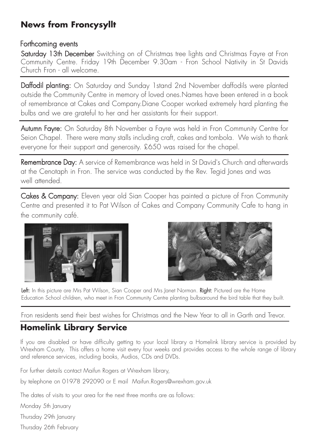## **News from Froncysyllt**

#### Forthcoming events

Saturday 13th December Switching on of Christmas tree lights and Christmas Fayre at Fron Community Centre. Friday 19th December 9.30am - Fron School Nativity in St Davids Church Fron - all welcome.

Daffodil planting: On Saturday and Sunday 1stand 2nd November daffodils were planted outside the Community Centre in memory of loved ones.Names have been entered in a book of remembrance at Cakes and Company.Diane Cooper worked extremely hard planting the bulbs and we are grateful to her and her assistants for their support.

Autumn Fayre: On Saturday 8th November a Fayre was held in Fron Community Centre for Seion Chapel. There were many stalls including craft, cakes and tombola. We wish to thank everyone for their support and generosity. £650 was raised for the chapel.

Remembrance Day: A service of Remembrance was held in St David's Church and afterwards at the Cenotaph in Fron. The service was conducted by the Rev. Tegid Jones and was well attended.

Cakes & Company: Eleven year old Sian Cooper has painted a picture of Fron Community Centre and presented it to Pat Wilson of Cakes and Company Community Cafe to hang in the community café.





Left: In this picture are Mrs Pat Wilson, Sian Cooper and Mrs Janet Norman. Right: Pictured are the Home Education School children, who meet in Fron Community Centre planting bulbsaround the bird table that they built.

Fron residents send their best wishes for Christmas and the New Year to all in Garth and Trevor.

# **Homelink Library Service**

If you are disabled or have difficulty getting to your local library a Homelink library service is provided by Wrexham County. This offers a home visit every four weeks and provides access to the whole range of library and reference services, including books, Audios, CDs and DVDs.

For further details contact Maifun Rogers at Wrexham library,

by telephone on 01978 292090 or E mail Maifun.Rogers@wrexham.gov.uk

The dates of visits to your area for the next three months are as follows:

Monday 5th January

Thursday 29th January

Thursday 26th February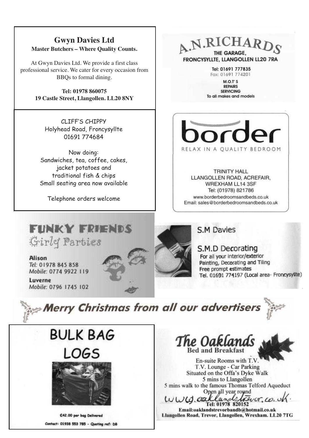#### **Gwyn Davies Ltd Master Butchers – Where Quality Counts.** *Muster Butthers Where yul*

At Gwyn Davies Ltd. We provide a first class professional service. We cater for every occasion from BBQs to formal dining.

Tel: 01978 860075 19 Castle Street, Llangollen. LL20 8NY products or services unless indicated.

> **ADVERTISING** CLIFF'S CHIPPY 1 **1 80.0000 110.0000 110.0000 110.0000 110.000 Gwyn Davies Ltd** Holyhead Road, Froncysyllte

rvow aoing.<br>Sandwiches, tea, coffee, cakes, **COMMUNITY NEWS** jacket potatoes and traditional fish & chips  $\overline{\phantom{a}}$   $\overline{\phantom{a}}$ GOODS DIY HOUSEHOLD **19 Small seating area now available** Now doing: Sandwiches, tea, coffee, cakes,

Telephone orders welcome PET PARTY AND PROPERTY

A.N.RICHARDS THE GARAGE. FRONCYSYLLTE, LLANGOLLEN LL20 7RA

> Tel: 01691 777835 Fax: 01691 774201

 $M.O.T S$ **REPAIRS** SERVICING To all makes and models



Will be under new management as of the 16th particles in the 16th particles in the 16th particles in the 16th particles in the 16th particles in the 16th particles in the 16th particles in the 16th particles in the 16th pa TRINITY HALL throughout the day when the day is a contract of WREXHAM LL14 3SF<br>Tel: (01978) 821786 www.borderbedroomsandbeds.co.uk Email: sales@borderbedroomsandbeds.co.uk PHARMACY GARDENING

Open 7 days a week 8 till late.

Tel. Enquiries: 01978 810466  $M \cdot 7.872$  is a substitution of a set of a set of a set of a set of a set of a set of a set of a set of a set of a set of a set of a set of a set of a set of a set of a set of a set of a set of a set of a set of a set of WITH HUNDREDS OF PRODUCT AT OUR EXPERIMENT AT OUR **DROP IN TO SEE HOW AND STATES OF SALES AND STATES OF SALES AND STATES OF SALES AND STATES OF SALES AND STATES** 1 Business Card - **£10.00 EXTEND** 

products or services unless indicated.

Tel: 01978 845 858

WODILE, UT YO 1742

**Luverne** 

or via e-mail to: clerk@llangollen-ruralcc.org



#### **SM Davies J.M. Davies**

S.M.D Decorating For all your interior/exterior Painting, Decorating and Tiling<br>Free prompt estimates somates. So you can join us for breakfast and the broad and a season for broad and season of the broad and season of the broad and season of the broad and season in the broad and season in the broad and season in the broad or dinner.

Sinius from un oor uu or via e-mail to: clerk@llangollen-ruralcc.org  $N_{\text{c}}$ . Morry Chris **Winter issue deadline for adverts or articles**



DROP IN TO SEE HOW DAVID OR JANINE CAN HELP YOU DAVID OR JANINE CAN HELP YOU DAVID OR JANINE CAN HELP YOU DAVID DB<sub>a</sub>

The Oaklands **Bed and Breakfast** 

Open 7 days a week 8 till late.

En-suite Rooms with T.V. 5 mins to Llangollen 5 mins walk to the famous Thomas Telford Aqueduct

C<sub>D</sub>  $uvu\alpha$  cake  $\sqrt{u}$ Tel: 01978 820152

Email:oaklandsti<br>Elengellen Pood, Trever Lianguien Road, Trevor,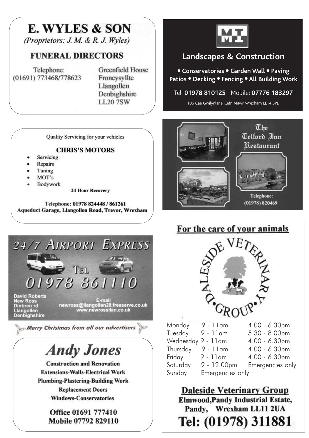# E. WYLES & SON

(Proprietors: J. M. & R. J. Wyles)

#### **FUNERAL DIRECTORS**

Telephone: (01691) 773468/778623 **Greenfield House** Froncysvllte Llangollen Denbighshire **LL207SW** 



### **Landscapes & Construction**

● **Conservatories** ● **Garden Wall** ● **Paving Patios** ● **Decking** ● **Fencing** ● **All Building Work**

#### Tel: **01978 810125** Mobile: **07776 183297**

106 Cae Gwilynlane, Cefn Mawr, Wrexham LL14 3PD



#### **CHRIS'S MOTORS**

- Servicing
- Repairs
- Tuning
- $MOT's$
- Bodywork

**24 Hour Recovery** 

Telephone: 01978 824448 / 861261 Aqueduct Garage, Llangollen Road, Trevor, Wrexham



**Construction and Renovation Extensions-Walls-Electrical Work Plumbing-Plastering-Building Work Replacement Doors Windows-Conservatories** 

> Office 01691 777410 Mobile 07792 829110



For the care of your animals Monday 9 - 11am 4.00 - 6.30pm Tuesday 9 - 11am 5.30 - 8.00pm Wednesday 9 - 11am 4.00 - 6.30pm Thursday 9 - 11am 4.00 - 6.30pm  $Fridav = 9 - 11$ am  $4.00 - 6.30$ pm Saturday 9 - 12.00pm Emergencies only Sunday Emergencies only

**Daleside Veterinary Group Elmwood, Pandy Industrial Estate,** Pandy, Wrexham LL11 2UA Tel: (01978) 311881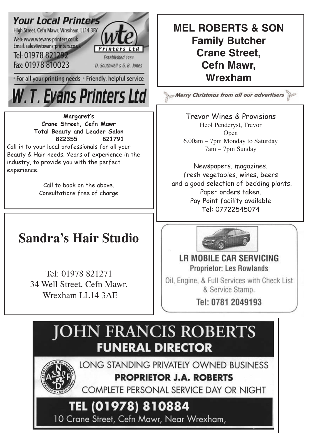

· For all your printing needs · Friendly, helpful service

# W. T. Evans Printers Ltd

**Margaret's Crane Street, Cefn Mawr Total Beauty and Leader Salon 822355 821791**

Call in to your local professionals for all your Beauty & Hair needs. Years of experience in the industry, to provide you with the perfect experience.

> Call to book on the above. Consultations free of charge

# **CLIFF'S CHIPPY Sandra's Hair Studio**

Tuesday Closed all day Tel: 01978 821271 34 Well Street, Cefn Mawr,  $\mathcal{F}_1$ .  $\mathcal{F}_2$  is the street, comparison, Wrexham LL14 3AE

 $\overline{\phantom{0}}$ **Family Butcher Crane Street, Cefn Mawr, Wrexham MEL ROBERTS & SON**

Merry Christmas from all our advertisers

**Trevor Wines & Provisions** Heol Penderyst, Trevor Open 6.00am – 7pm Monday to Saturday 8am – 7pm Sunday 7am – 7pm Sunday Trevor Wines & Provisions

Newspapers, magazines, Newspapers, magazines, fresh vegetables, wines, beer fresh vegetables, wines, beers and a good selection of bedding plants. and a good selection of bedding plants.<br>———————————————————— Pay Point facility available Pay Point facility available Tel: 07722545074 Tel: 07722545074 Paper orders taken.



### LR MOBILE CAR SERVICING **Proprietor: Les Rowlands**

Oil, Engine, & Full Services with Check List & Service Stamp.

Tel: 0781 2049193

# **JOHN FRANCIS ROBERTS FUNERAL DIRECTOR**



LONG STANDING PRIVATELY OWNED BUSINESS **PROPRIETOR J.A. ROBERTS** 

COMPLETE PERSONAL SERVICE DAY OR NIGHT

# TEL (01978) 810884

10 Crane Street, Cefn Mawr, Near Wrexham,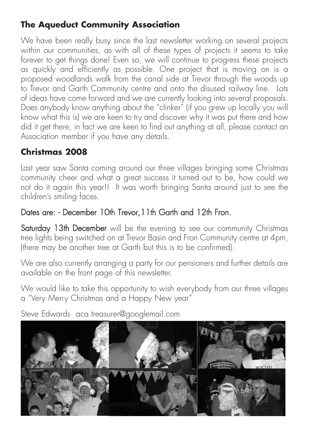# **The Aqueduct Community Association**

We have been really busy since the last newsletter working on several projects within our communities, as with all of these types of projects it seems to take forever to get things done! Even so, we will continue to progress these projects as quickly and efficiently as possible. One project that is moving on is a proposed woodlands walk from the canal side at Trevor through the woods up to Trevor and Garth Community centre and onto the disused railway line. Lots of ideas have come forward and we are currently looking into several proposals. Does anybody know anything about the "clinker" (if you grew up locally you will know what this is) we are keen to try and discover why it was put there and how did it get there, in fact we are keen to find out anything at all, please contact an Association member if you have any details.

# **Christmas 2008**

Last year saw Santa coming around our three villages bringing some Christmas community cheer and what a great success it turned out to be, how could we not do it again this year!! It was worth bringing Santa around just to see the children's smiling faces.

# Dates are: - December 10th Trevor,11th Garth and 12th Fron.

Saturday 13th December will be the evening to see our community Christmas tree lights being switched on at Trevor Basin and Fron Community centre at 4pm, (there may be another tree at Garth but this is to be confirmed).

We are also currently arranging a party for our pensioners and further details are available on the front page of this newsletter.

We would like to take this opportunity to wish everybody from our three villages a "Very Merry Christmas and a Happy New year"

Steve Edwards aca.treasurer@googlemail.com

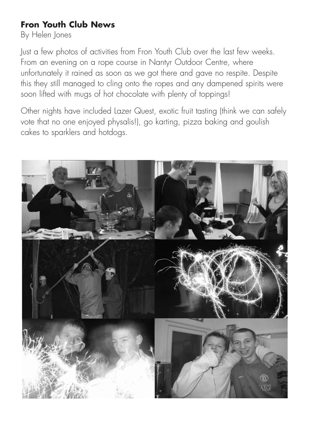## **Fron Youth Club News**

By Helen Jones

Just a few photos of activities from Fron Youth Club over the last few weeks. From an evening on a rope course in Nantyr Outdoor Centre, where unfortunately it rained as soon as we got there and gave no respite. Despite this they still managed to cling onto the ropes and any dampened spirits were soon lifted with mugs of hot chocolate with plenty of toppings!

Other nights have included Lazer Quest, exotic fruit tasting (think we can safely vote that no one enjoyed physalis!), go karting, pizza baking and goulish cakes to sparklers and hotdogs.

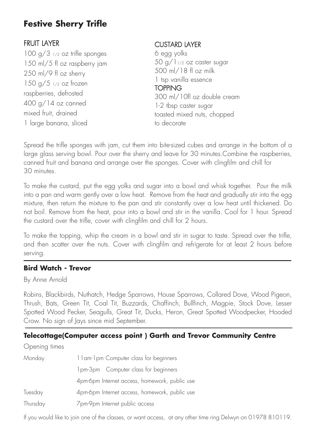## **Festive Sherry Trifle**

#### **FRUIT LAYER**

100 g/3 1/2 oz trifle sponges 150 ml/5 fl oz raspberry jam 250 ml/9 fl oz sherry 150 g/5 1/2 oz frozen raspberries, defrosted 400 g/14 oz canned mixed fruit, drained 1 large banana, sliced

#### CUSTARD LAYER

6 egg yolks 50 g/11/2 oz caster sugar 500 ml/18 fl oz milk 1 tsp vanilla essence

#### **TOPPING**

300 ml/10fl oz double cream 1-2 tbsp caster sugar toasted mixed nuts, chopped to decorate

Spread the trifle sponges with jam, cut them into bite-sized cubes and arrange in the bottom of a large glass serving bowl. Pour over the sherry and leave for 30 minutes.Combine the raspberries, canned fruit and banana and arrange over the sponges. Cover with clingfilm and chill for 30 minutes.

To make the custard, put the egg yolks and sugar into a bowl and whisk together. Pour the milk into a pan and warm gently over a low heat. Remove from the heat and gradually stir into the egg mixture, then return the mixture to the pan and stir constantly over a low heat until thickened. Do not boil. Remove from the heat, pour into a bowl and stir in the vanilla. Cool for 1 hour. Spread the custard over the trifle, cover with clingfilm and chill for 2 hours.

To make the topping, whip the cream in a bowl and stir in sugar to taste. Spread over the trifle, and then scatter over the nuts. Cover with clingfilm and refrigerate for at least 2 hours before serving.

#### **Bird Watch - Trevor**

By Anne Arnold

Robins, Blackbirds, Nuthatch, Hedge Sparrows, House Sparrows, Collared Dove, Wood Pigeon, Thrush, Bats, Green Tit, Coal Tit, Buzzards, Chaffinch, Bullfinch, Magpie, Stock Dove, Lesser Spotted Wood Pecker, Seagulls, Great Tit, Ducks, Heron, Great Spotted Woodpecker, Hooded Crow. No sign of Jays since mid September.

#### **Telecottage(Computer access point ) Garth and Trevor Community Centre**

Opening times

| Monday   | 11am-1pm Computer class for beginners         |
|----------|-----------------------------------------------|
|          | 1pm-3pm Computer class for beginners          |
|          | 4pm-6pm Internet access, homework, public use |
| Tuesday  | 4pm-6pm Internet access, homework, public use |
| Thursday | 7pm-9pm Internet public access                |

If you would like to join one of the classes, or want access, at any other time ring Delwyn on 01978 810119.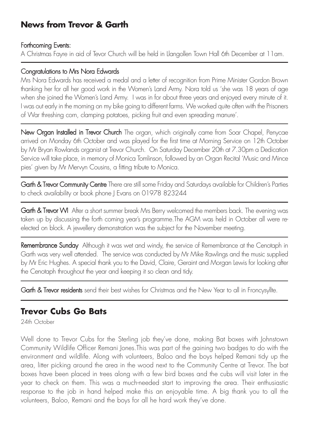### **News from Trevor & Garth**

#### Forthcoming Events:

A Christmas Fayre in aid of Tevor Church will be held in Llangollen Town Hall 6th December at 11am.

#### Congratulations to Mrs Nora Edwards

Mrs Nora Edwards has received a medal and a letter of recognition from Prime Minister Gordon Brown thanking her for all her good work in the Women's Land Army. Nora told us 'she was 18 years of age when she joined the Women's Land Army. I was in for about three years and enjoyed every minute of it. I was out early in the morning on my bike going to different farms. We worked quite often with the Prisoners of War threshing corn, clamping potatoes, picking fruit and even spreading manure'.

New Organ Installed in Trevor Church The organ, which originally came from Soar Chapel, Penycae arrived on Monday 6th October and was played for the first time at Morning Service on 12th October by Mr Bryan Rowlands organist at Trevor Church. On Saturday December 20th at 7.30pm a Dedication Service will take place, in memory of Monica Tomlinson, followed by an Organ Recital 'Music and Mince pies' given by Mr Mervyn Cousins, a fitting tribute to Monica.

Garth & Trevor Community Centre There are still some Friday and Saturdays available for Children's Parties to check availability or book phone J Evans on 01978 823244

Garth & Trevor WI After a short summer break Mrs Berry welcomed the members back. The evening was taken up by discussing the forth coming year's programme.The AGM was held in October all were reelected on block. A jewellery demonstration was the subject for the November meeting.

Remembrance Sunday Although it was wet and windy, the service of Remembrance at the Cenotaph in Garth was very well attended. The service was conducted by Mr Mike Rawlings and the music supplied by Mr Eric Hughes. A special thank you to the David, Claire, Geraint and Morgan Lewis for looking after the Cenotaph throughout the year and keeping it so clean and tidy.

Garth & Trevor residents send their best wishes for Christmas and the New Year to all in Froncysyllte.

### **Trevor Cubs Go Bats**

24th October

Well done to Trevor Cubs for the Sterling job they've done, making Bat boxes with Johnstown Community Wildlife Officer Remani Jones.This was part of the gaining two badges to do with the environment and wildlife. Along with volunteers, Baloo and the boys helped Remani tidy up the area, litter picking around the area in the wood next to the Community Centre at Trevor. The bat boxes have been placed in trees along with a few bird boxes and the cubs will visit later in the year to check on them. This was a much-needed start to improving the area. Their enthusiastic response to the job in hand helped make this an enjoyable time. A big thank you to all the volunteers, Baloo, Remani and the boys for all he hard work they've done.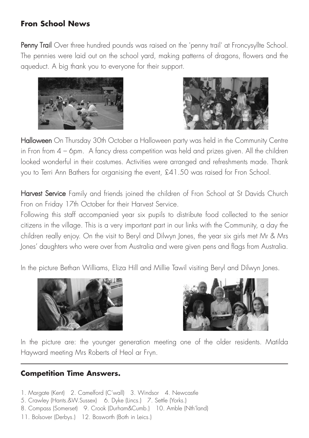### **Fron School News**

Penny Trail Over three hundred pounds was raised on the 'penny trail' at Froncysyllte School. The pennies were laid out on the school yard, making patterns of dragons, flowers and the aqueduct. A big thank you to everyone for their support.





Halloween On Thursday 30th October a Halloween party was held in the Community Centre in Fron from  $4 - 6$ pm. A fancy dress competition was held and prizes given. All the children looked wonderful in their costumes. Activities were arranged and refreshments made. Thank you to Terri Ann Bathers for organising the event, £41.50 was raised for Fron School.

Harvest Service Family and friends joined the children of Fron School at St Davids Church Fron on Friday 17th October for their Harvest Service.

Following this staff accompanied year six pupils to distribute food collected to the senior citizens in the village. This is a very important part in our links with the Community, a day the children really enjoy. On the visit to Beryl and Dilwyn Jones, the year six girls met Mr & Mrs Jones' daughters who were over from Australia and were given pens and flags from Australia.

In the picture Bethan Williams, Eliza Hill and Millie Tawil visiting Beryl and Dilwyn Jones.





In the picture are: the younger generation meeting one of the older residents. Matilda Hayward meeting Mrs Roberts of Heol ar Fryn.

#### **Competition Time Answers.**

- 1. Margate (Kent) 2. Camelford (C'wall) 3. Windsor 4. Newcastle
- 5. Crawley (Hants.&W.Sussex) 6. Dyke (Lincs.) 7. Settle (Yorks.)
- 8. Compass (Somerset) 9. Crook (Durham&Cumb.) 10. Amble (Nth'land)
- 11. Bolsover (Derbys.) 12. Bosworth (Both in Leics.)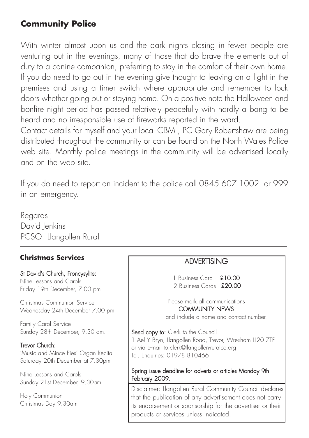### **Community Police**

With winter almost upon us and the dark nights closing in fewer people are venturing out in the evenings, many of those that do brave the elements out of duty to a canine companion, preferring to stay in the comfort of their own home. If you do need to go out in the evening give thought to leaving on a light in the premises and using a timer switch where appropriate and remember to lock doors whether going out or staying home. On a positive note the Halloween and bonfire night period has passed relatively peacefully with hardly a bang to be heard and no irresponsible use of fireworks reported in the ward.

Contact details for myself and your local CBM , PC Gary Robertshaw are being distributed throughout the community or can be found on the North Wales Police web site. Monthly police meetings in the community will be advertised locally and on the web site.

If you do need to report an incident to the police call 0845 607 1002 or 999 in an emergency.

Regards David Jenkins PCSO Llangollen Rural

#### **Christmas Services**

#### St David's Church, Froncysyllte:

Nine Lessons and Carols Friday 19th December, 7.00 pm

Christmas Communion Service Wednesday 24th December 7.00 pm

Family Carol Service Sunday 28th December, 9.30 am.

#### Trevor Church:

'Music and Mince Pies' Organ Recital Saturday 20th December at 7.30pm

Nine Lessons and Carols Sunday 21st December, 9.30am

Holy Communion Christmas Day 9.30am

### **ADVERTISING**

1 Business Card - £10.00 2 Business Cards - £20.00

Please mark all communications COMMUNITY NEWS and include a name and contact number.

or via e-mail to:clerk@llangollen-ruralcc.org Tel. Enquiries: 01978 810466 advertisement does not carry its endorsement Send copy to: Clerk to the Council 1 Ael Y Bryn, Llangollen Road, Trevor, Wrexham LL20 7TF

#### Spring issue deadline for adverts or articles Monday 9th products or services under the services under the service units of the services of the series of the series of the series of the series of the series of the series of the series of the series of the series of the series of

Disclaimer: Llangollen Rural Community Council declares that the publication of any advertisement does not carry its endorsement or sponsorship for the advertiser or their products or services unless indicated.